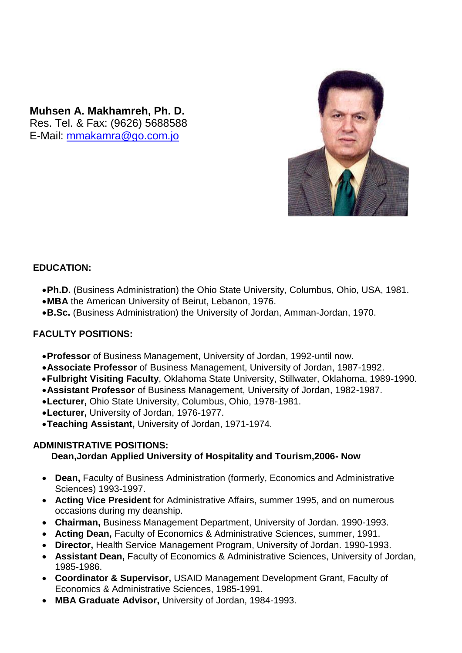**Muhsen A. Makhamreh, Ph. D.** Res. Tel. & Fax: (9626) 5688588 E-Mail: [mmakamra@go.com.jo](mailto:mmakamra@go.com.jo)



### **EDUCATION:**

- **Ph.D.** (Business Administration) the Ohio State University, Columbus, Ohio, USA, 1981.
- **MBA** the American University of Beirut, Lebanon, 1976.
- **B.Sc.** (Business Administration) the University of Jordan, Amman-Jordan, 1970.

### **FACULTY POSITIONS:**

- **Professor** of Business Management, University of Jordan, 1992-until now.
- **Associate Professor** of Business Management, University of Jordan, 1987-1992.
- **Fulbright Visiting Faculty**, Oklahoma State University, Stillwater, Oklahoma, 1989-1990.
- **Assistant Professor** of Business Management, University of Jordan, 1982-1987.
- **Lecturer,** Ohio State University, Columbus, Ohio, 1978-1981.
- **Lecturer,** University of Jordan, 1976-1977.
- **Teaching Assistant,** University of Jordan, 1971-1974.

### **ADMINISTRATIVE POSITIONS:**

### **Dean,Jordan Applied University of Hospitality and Tourism,2006- Now**

- **Dean,** Faculty of Business Administration (formerly, Economics and Administrative Sciences) 1993-1997.
- **Acting Vice President** for Administrative Affairs, summer 1995, and on numerous occasions during my deanship.
- **Chairman,** Business Management Department, University of Jordan. 1990-1993.
- **Acting Dean,** Faculty of Economics & Administrative Sciences, summer, 1991.
- **Director,** Health Service Management Program, University of Jordan. 1990-1993.
- **Assistant Dean,** Faculty of Economics & Administrative Sciences, University of Jordan, 1985-1986.
- **Coordinator & Supervisor,** USAID Management Development Grant, Faculty of Economics & Administrative Sciences, 1985-1991.
- **MBA Graduate Advisor,** University of Jordan, 1984-1993.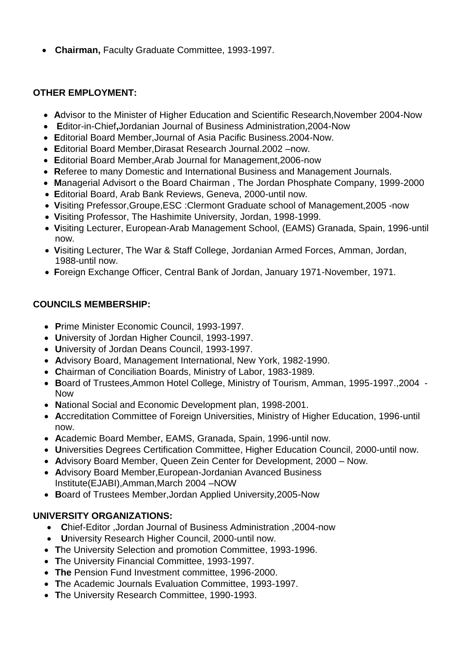**Chairman,** Faculty Graduate Committee, 1993-1997.

## **OTHER EMPLOYMENT:**

- **A**dvisor to the Minister of Higher Education and Scientific Research,November 2004-Now
- **E**ditor-in-Chief**,**Jordanian Journal of Business Administration,2004-Now
- **E**ditorial Board Member,Journal of Asia Pacific Business.2004-Now.
- **E**ditorial Board Member,Dirasat Research Journal.2002 –now.
- **E**ditorial Board Member,Arab Journal for Management,2006-now
- **R**eferee to many Domestic and International Business and Management Journals.
- **M**anagerial Advisort o the Board Chairman , The Jordan Phosphate Company, 1999-2000
- **E**ditorial Board, Arab Bank Reviews, Geneva, 2000-until now.
- **V**isiting Prefessor,Groupe,ESC :Clermont Graduate school of Management,2005 -now
- **V**isiting Professor, The Hashimite University, Jordan, 1998-1999.
- **V**isiting Lecturer, European-Arab Management School, (EAMS) Granada, Spain, 1996-until now.
- **V**isiting Lecturer, The War & Staff College, Jordanian Armed Forces, Amman, Jordan, 1988-until now.
- **F**oreign Exchange Officer, Central Bank of Jordan, January 1971-November, 1971.

# **COUNCILS MEMBERSHIP:**

- **P**rime Minister Economic Council, 1993-1997.
- **U**niversity of Jordan Higher Council, 1993-1997.
- **U**niversity of Jordan Deans Council, 1993-1997.
- **A**dvisory Board, Management International, New York, 1982-1990.
- **C**hairman of Conciliation Boards, Ministry of Labor, 1983-1989.
- **B**oard of Trustees,Ammon Hotel College, Ministry of Tourism, Amman, 1995-1997.,2004 Now
- **N**ational Social and Economic Development plan, 1998-2001.
- **A**ccreditation Committee of Foreign Universities, Ministry of Higher Education, 1996-until now.
- **A**cademic Board Member, EAMS, Granada, Spain, 1996-until now.
- **U**niversities Degrees Certification Committee, Higher Education Council, 2000-until now.
- **A**dvisory Board Member, Queen Zein Center for Development, 2000 Now.
- **A**dvisory Board Member,European-Jordanian Avanced Business Institute(EJABI),Amman,March 2004 –NOW
- **B**oard of Trustees Member,Jordan Applied University,2005-Now

# **UNIVERSITY ORGANIZATIONS:**

- **C**hief-Editor ,Jordan Journal of Business Administration ,2004-now
- **U**niversity Research Higher Council, 2000-until now.
- **T**he University Selection and promotion Committee, 1993-1996.
- **T**he University Financial Committee, 1993-1997.
- **The** Pension Fund Investment committee, 1996-2000.
- **T**he Academic Journals Evaluation Committee, 1993-1997.
- **T**he University Research Committee, 1990-1993.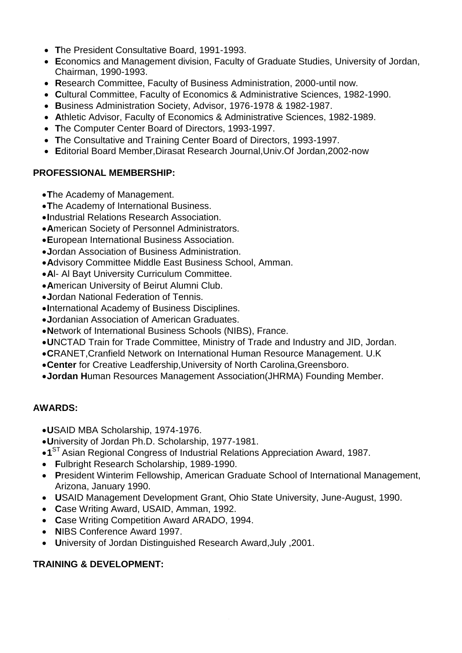- The President Consultative Board, 1991-1993.
- Economics and Management division, Faculty of Graduate Studies, University of Jordan, Chairman, 1990-1993.
- Research Committee, Faculty of Business Administration, 2000-until now.
- Cultural Committee, Faculty of Economics & Administrative Sciences, 1982-1990.
- Business Administration Society, Advisor, 1976-1978 & 1982-1987.
- Athletic Advisor, Faculty of Economics & Administrative Sciences, 1982-1989.
- The Computer Center Board of Directors, 1993-1997.
- The Consultative and Training Center Board of Directors, 1993-1997.
- Editorial Board Member, Dirasat Research Journal, Univ. Of Jordan, 2002-now

## **PROFESSIONAL MEMBERSHIP:**

- The Academy of Management.
- .The Academy of International Business.
- . Industrial Relations Research Association.
- American Society of Personnel Administrators.
- European International Business Association.
- .Jordan Association of Business Administration.
- Advisory Committee Middle East Business School, Amman.
- Al- Al Bayt University Curriculum Committee.
- American University of Beirut Alumni Club.
- .Jordan National Federation of Tennis.
- •International Academy of Business Disciplines.
- .Jordanian Association of American Graduates.
- .Network of International Business Schools (NIBS), France.
- . UNCTAD Train for Trade Committee, Ministry of Trade and Industry and JID, Jordan.
- CRANET. Cranfield Network on International Human Resource Management, U.K
- Center for Creative Leadfership, University of North Carolina, Greensboro.
- .Jordan Human Resources Management Association(JHRMA) Founding Member.

# **AWARDS:**

- .USAID MBA Scholarship, 1974-1976.
- . University of Jordan Ph.D. Scholarship, 1977-1981
- •1<sup>ST</sup> Asian Regional Congress of Industrial Relations Appreciation Award, 1987.
- Fulbright Research Scholarship. 1989-1990.
- President Winterim Fellowship, American Graduate School of International Management, Arizona, January 1990.
- USAID Management Development Grant, Ohio State University, June-August, 1990.
- Case Writing Award, USAID, Amman, 1992.
- Case Writing Competition Award ARADO, 1994.
- NIBS Conference Award 1997.
- . 2001, University of Jordan Distinguished Research Award, July , 2001

# **TRAINING & DEVELOPMENT:**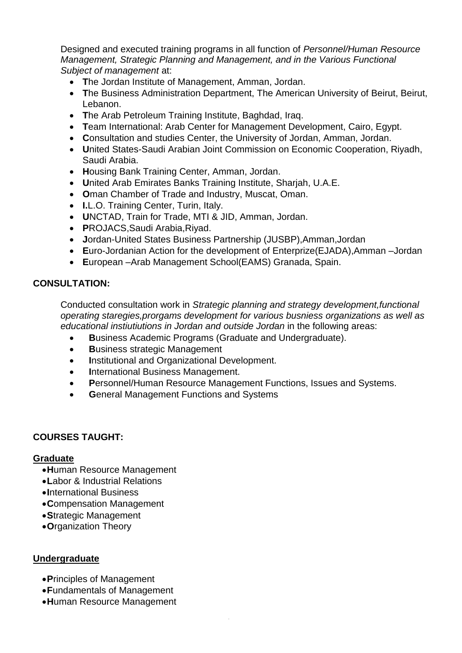Designed and executed training programs in all function of Personnel/Human Resource Management, Strategic Planning and Management, and in the Various Functional Subject of management at:

- The Jordan Institute of Management, Amman, Jordan.
- The Business Administration Department, The American University of Beirut, Beirut, Lebanon.
- The Arab Petroleum Training Institute, Baghdad, Irag.
- Team International: Arab Center for Management Development, Cairo, Egypt.
- Consultation and studies Center, the University of Jordan, Amman, Jordan.
- United States-Saudi Arabian Joint Commission on Economic Cooperation, Rivadh, Saudi Arabia.
- Housing Bank Training Center, Amman, Jordan.
- United Arab Emirates Banks Training Institute, Shariah, U.A.E.
- Oman Chamber of Trade and Industry, Muscat, Oman.
- I.L.O. Training Center, Turin, Italy.
- UNCTAD, Train for Trade, MTI & JID, Amman, Jordan.
- PROJACS, Saudi Arabia, Rivad.
- Jordan-United States Business Partnership (JUSBP), Amman, Jordan
- Euro-Jordanian Action for the development of Enterprize(EJADA), Amman -Jordan
- European Arab Management School (EAMS) Granada, Spain.

#### **CONSULTATION:**

Conducted consultation work in Strategic planning and strategy development, functional operating staregies, prorgams development for various busniess organizations as well as educational instiutiutions in Jordan and outside Jordan in the following areas:

- Business Academic Programs (Graduate and Undergraduate).
- **Business strategic Management**  $\bullet$
- Institutional and Organizational Development.  $\bullet$
- **International Business Management.**  $\bullet$
- Personnel/Human Resource Management Functions, Issues and Systems.
- **General Management Functions and Systems**

### **COURSES TAUGHT:**

#### **Graduate**

- Human Resource Management
- . Labor & Industrial Relations
- •International Business
- Compensation Management
- Strategic Management
- Organization Theory

#### **Undergraduate**

- Principles of Management
- Fundamentals of Management
- Human Resource Management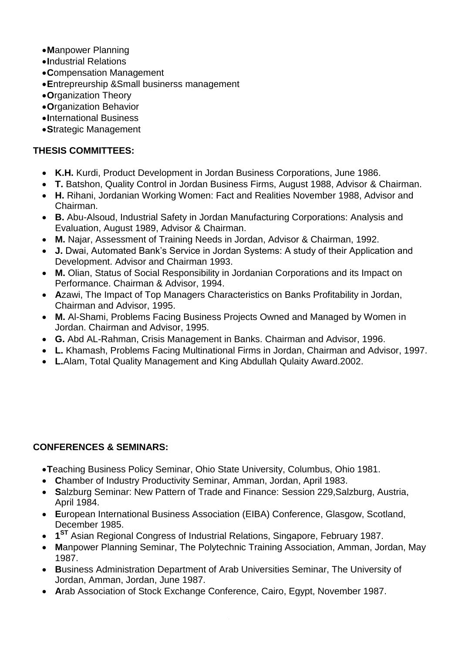- **M**anpower Planning
- **I**ndustrial Relations
- **C**ompensation Management
- **E**ntrepreurship &Small businerss management
- **O**rganization Theory
- **O**rganization Behavior
- **I**nternational Business
- **S**trategic Management

### **THESIS COMMITTEES:**

- **K.H.** Kurdi, Product Development in Jordan Business Corporations, June 1986.
- **T.** Batshon, Quality Control in Jordan Business Firms, August 1988, Advisor & Chairman.
- **H.** Rihani, Jordanian Working Women: Fact and Realities November 1988, Advisor and Chairman.
- **B.** Abu-Alsoud, Industrial Safety in Jordan Manufacturing Corporations: Analysis and Evaluation, August 1989, Advisor & Chairman.
- **M.** Najar, Assessment of Training Needs in Jordan, Advisor & Chairman, 1992.
- **J.** Dwai, Automated Bank's Service in Jordan Systems: A study of their Application and Development. Advisor and Chairman 1993.
- **M.** Olian, Status of Social Responsibility in Jordanian Corporations and its Impact on Performance. Chairman & Advisor, 1994.
- **A**zawi, The Impact of Top Managers Characteristics on Banks Profitability in Jordan, Chairman and Advisor, 1995.
- **M.** Al-Shami, Problems Facing Business Projects Owned and Managed by Women in Jordan. Chairman and Advisor, 1995.
- **G.** Abd AL-Rahman, Crisis Management in Banks. Chairman and Advisor, 1996.
- **L.** Khamash, Problems Facing Multinational Firms in Jordan, Chairman and Advisor, 1997.
- **L.**Alam, Total Quality Management and King Abdullah Qulaity Award.2002.

### **CONFERENCES & SEMINARS:**

- **T**eaching Business Policy Seminar, Ohio State University, Columbus, Ohio 1981.
- **C**hamber of Industry Productivity Seminar, Amman, Jordan, April 1983.
- **S**alzburg Seminar: New Pattern of Trade and Finance: Session 229,Salzburg, Austria, April 1984.
- **E**uropean International Business Association (EIBA) Conference, Glasgow, Scotland, December 1985.
- **1 ST** Asian Regional Congress of Industrial Relations, Singapore, February 1987.
- **M**anpower Planning Seminar, The Polytechnic Training Association, Amman, Jordan, May 1987.
- **B**usiness Administration Department of Arab Universities Seminar, The University of Jordan, Amman, Jordan, June 1987.
- **A**rab Association of Stock Exchange Conference, Cairo, Egypt, November 1987.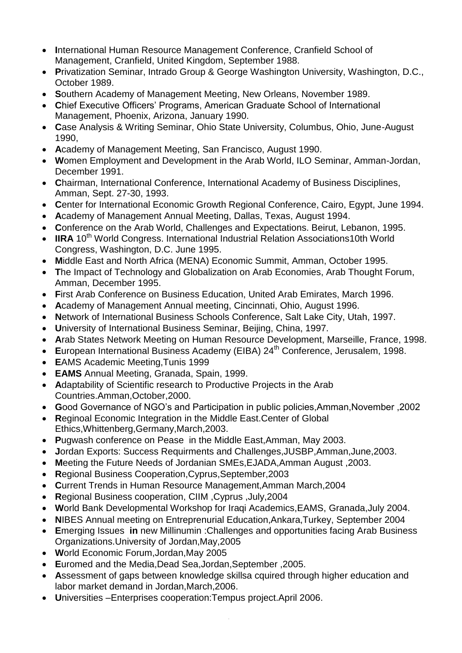- International Human Resource Management Conference, Cranfield School of Management, Cranfield, United Kingdom, September 1988.
- Privatization Seminar, Intrado Group & George Washington University, Washington, D.C., October 1989.
- Southern Academy of Management Meeting, New Orleans, November 1989.
- Chief Executive Officers' Programs, American Graduate School of International Management, Phoenix, Arizona, January 1990.
- Case Analysis & Writing Seminar, Ohio State University, Columbus, Ohio, June-August 1990,
- Academy of Management Meeting, San Francisco, August 1990.
- Women Employment and Development in the Arab World, ILO Seminar, Amman-Jordan, December 1991.
- Chairman, International Conference, International Academy of Business Disciplines, Amman, Sept. 27-30, 1993.
- Center for International Economic Growth Regional Conference, Cairo, Egypt, June 1994.
- Academy of Management Annual Meeting, Dallas, Texas, August 1994.
- Conference on the Arab World, Challenges and Expectations. Beirut, Lebanon, 1995.
- IIRA 10<sup>th</sup> World Congress. International Industrial Relation Associations10th World Congress, Washington, D.C. June 1995.
- Middle East and North Africa (MENA) Economic Summit, Amman, October 1995.
- The Impact of Technology and Globalization on Arab Economies, Arab Thought Forum, Amman, December 1995.
- First Arab Conference on Business Education, United Arab Emirates, March 1996.
- Academy of Management Annual meeting, Cincinnati, Ohio, August 1996.
- Network of International Business Schools Conference, Salt Lake City, Utah, 1997.
- University of International Business Seminar, Beijing, China, 1997.
- Arab States Network Meeting on Human Resource Development, Marseille, France, 1998.
- European International Business Academy (EIBA) 24<sup>th</sup> Conference, Jerusalem, 1998.
- EAMS Academic Meeting. Tunis 1999
- EAMS Annual Meeting, Granada, Spain, 1999.
- Adaptability of Scientific research to Productive Projects in the Arab Countries.Amman.October.2000.
- Good Governance of NGO's and Participation in public policies.Amman.November .2002
- Reginoal Economic Integration in the Middle East. Center of Global Ethics, Whittenberg, Germany, March, 2003.
- Pugwash conference on Pease in the Middle East, Amman, May 2003.
- Jordan Exports: Success Requirments and Challenges, JUSBP, Amman, June, 2003.
- Meeting the Future Needs of Jordanian SMEs.EJADA.Amman August .2003.
- Regional Business Cooperation, Cyprus, September, 2003
- Current Trends in Human Resource Management, Amman March, 2004
- Regional Business cooperation, CIIM, Cyprus, July, 2004
- World Bank Developmental Workshop for Iragi Academics, EAMS, Granada, July 2004.
- NIBES Annual meeting on Entreprenurial Education, Ankara, Turkey, September 2004
- Emerging Issues in new Millinumin: Challenges and opportunities facing Arab Business Organizations. University of Jordan, May, 2005
- World Economic Forum, Jordan, May 2005
- Euromed and the Media, Dead Sea, Jordan, September, 2005.
- Assessment of gaps between knowledge skillsa cquired through higher education and labor market demand in Jordan, March, 2006.
- Universities -Enterprises cooperation: Tempus project. April 2006.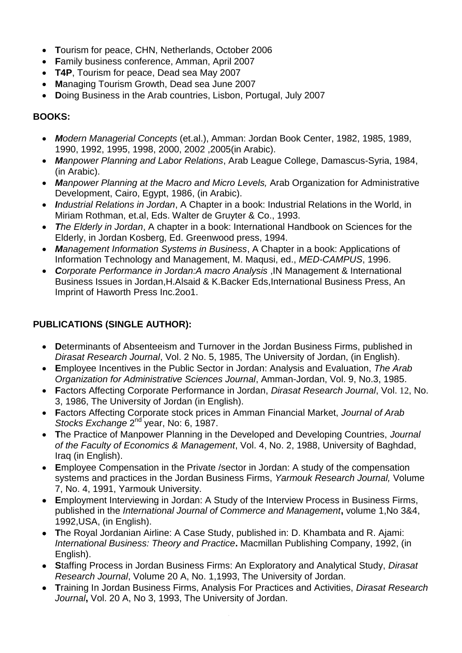- **T**ourism for peace, CHN, Netherlands, October 2006
- **F**amily business conference, Amman, April 2007
- **T4P**, Tourism for peace, Dead sea May 2007
- **M**anaging Tourism Growth, Dead sea June 2007
- **D**oing Business in the Arab countries, Lisbon, Portugal, July 2007

## **BOOKS:**

- *Modern Managerial Concepts* (et.al.), Amman: Jordan Book Center, 1982, 1985, 1989, 1990, 1992, 1995, 1998, 2000, 2002 ,2005(in Arabic).
- *Manpower Planning and Labor Relations*, Arab League College, Damascus-Syria, 1984, (in Arabic).
- *Manpower Planning at the Macro and Micro Levels,* Arab Organization for Administrative Development, Cairo, Egypt, 1986, (in Arabic).
- *Industrial Relations in Jordan*, A Chapter in a book: Industrial Relations in the World, in Miriam Rothman, et.al, Eds. Walter de Gruyter & Co., 1993.
- *The Elderly in Jordan*, A chapter in a book: International Handbook on Sciences for the Elderly, in Jordan Kosberg, Ed. Greenwood press, 1994.
- *Management Information Systems in Business*, A Chapter in a book: Applications of Information Technology and Management, M. Maqusi, ed., *MED-CAMPUS*, 1996.
- *Corporate Performance in Jordan:A macro Analysis* ,IN Management & International Business Issues in Jordan,H.Alsaid & K.Backer Eds,International Business Press, An Imprint of Haworth Press Inc.2oo1.

# **PUBLICATIONS (SINGLE AUTHOR):**

- Determinants of Absenteeism and Turnover in the Jordan Business Firms, published in *Dirasat Research Journal*, Vol. 2 No. 5, 1985, The University of Jordan, (in English).
- **E**mployee Incentives in the Public Sector in Jordan: Analysis and Evaluation, *The Arab Organization for Administrative Sciences Journal*, Amman-Jordan, Vol. 9, No.3, 1985.
- **F**actors Affecting Corporate Performance in Jordan, *Dirasat Research Journal*, Vol. 12, No. 3, 1986, The University of Jordan (in English).
- **F**actors Affecting Corporate stock prices in Amman Financial Market, *Journal of Arab* Stocks Exchange 2<sup>nd</sup> year, No: 6, 1987.
- **T**he Practice of Manpower Planning in the Developed and Developing Countries, *Journal of the Faculty of Economics & Management*, Vol. 4, No. 2, 1988, University of Baghdad, Iraq (in English).
- **E**mployee Compensation in the Private /sector in Jordan: A study of the compensation systems and practices in the Jordan Business Firms, *Yarmouk Research Journal,* Volume 7, No. 4, 1991, Yarmouk University.
- **E**mployment Interviewing in Jordan: A Study of the Interview Process in Business Firms, published in the *International Journal of Commerce and Management***,** volume 1,No 3&4, 1992,USA, (in English).
- **T**he Royal Jordanian Airline: A Case Study, published in: D. Khambata and R. Ajami: *International Business: Theory and Practice***.** Macmillan Publishing Company, 1992, (in English).
- **S**taffing Process in Jordan Business Firms: An Exploratory and Analytical Study, *Dirasat Research Journal*, Volume 20 A, No. 1,1993, The University of Jordan.
- **T**raining In Jordan Business Firms, Analysis For Practices and Activities, *Dirasat Research Journal***,** Vol. 20 A, No 3, 1993, The University of Jordan.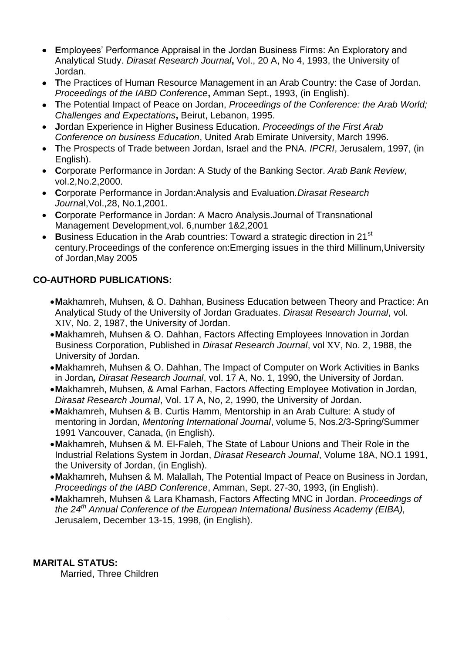- **E**mployees' Performance Appraisal in the Jordan Business Firms: An Exploratory and Analytical Study. *Dirasat Research Journal***,** Vol., 20 A, No 4, 1993, the University of Jordan.
- **T**he Practices of Human Resource Management in an Arab Country: the Case of Jordan. *Proceedings of the IABD Conference***,** Amman Sept., 1993, (in English).
- **T**he Potential Impact of Peace on Jordan, *Proceedings of the Conference: the Arab World; Challenges and Expectations***,** Beirut, Lebanon, 1995.
- **J**ordan Experience in Higher Business Education. *Proceedings of the First Arab Conference on business Education*, United Arab Emirate University, March 1996.
- **T**he Prospects of Trade between Jordan, Israel and the PNA. *IPCRI*, Jerusalem, 1997, (in English).
- **C**orporate Performance in Jordan: A Study of the Banking Sector. *Arab Bank Review*, vol.2,No.2,2000.
- **C**orporate Performance in Jordan:Analysis and Evaluation.*Dirasat Research Journa*l,Vol.,28, No.1,2001.
- **C**orporate Performance in Jordan: A Macro Analysis.Journal of Transnational Management Development,vol. 6,number 1&2,2001
- Business Education in the Arab countries: Toward a strategic direction in 21<sup>st</sup> century.Proceedings of the conference on:Emerging issues in the third Millinum,University of Jordan,May 2005

## **CO-AUTHORD PUBLICATIONS:**

- **M**akhamreh, Muhsen, & O. Dahhan, Business Education between Theory and Practice: An Analytical Study of the University of Jordan Graduates. *Dirasat Research Journal*, vol. XIV, No. 2, 1987, the University of Jordan.
- **M**akhamreh, Muhsen & O. Dahhan, Factors Affecting Employees Innovation in Jordan Business Corporation, Published in *Dirasat Research Journal*, vol XV, No. 2, 1988, the University of Jordan.
- **M**akhamreh, Muhsen & O. Dahhan, The Impact of Computer on Work Activities in Banks in Jordan*, Dirasat Research Journal*, vol. 17 A, No. 1, 1990, the University of Jordan.
- **M**akhamreh, Muhsen, & Amal Farhan, Factors Affecting Employee Motivation in Jordan, *Dirasat Research Journal*, Vol. 17 A, No, 2, 1990, the University of Jordan.
- **M**akhamreh, Muhsen & B. Curtis Hamm, Mentorship in an Arab Culture: A study of mentoring in Jordan, *Mentoring International Journal*, volume 5, Nos.2/3-Spring/Summer 1991 Vancouver, Canada, (in English).
- **M**akhamreh, Muhsen & M. El-Faleh, The State of Labour Unions and Their Role in the Industrial Relations System in Jordan, *Dirasat Research Journal*, Volume 18A, NO.1 1991, the University of Jordan, (in English).
- **M**akhamreh, Muhsen & M. Malallah, The Potential Impact of Peace on Business in Jordan, *Proceedings of the IABD Conference*, Amman, Sept. 27-30, 1993, (in English).
- **M**akhamreh, Muhsen & Lara Khamash, Factors Affecting MNC in Jordan. *Proceedings of the 24th Annual Conference of the European International Business Academy (EIBA),*  Jerusalem, December 13-15, 1998, (in English).

#### **MARITAL STATUS:**

Married, Three Children